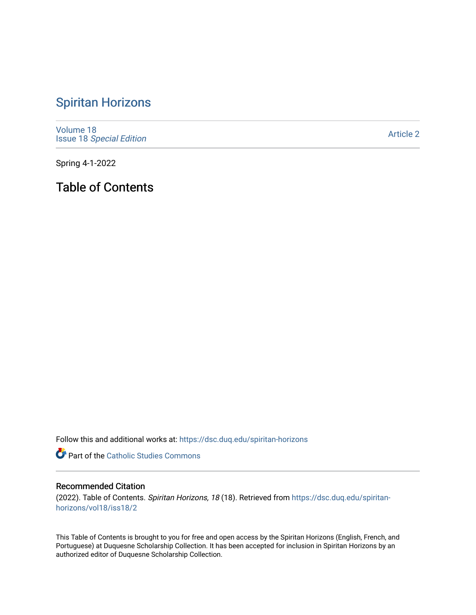## [Spiritan Horizons](https://dsc.duq.edu/spiritan-horizons)

[Volume 18](https://dsc.duq.edu/spiritan-horizons/vol18) Issue 18 [Special Edition](https://dsc.duq.edu/spiritan-horizons/vol18/iss18) 

[Article 2](https://dsc.duq.edu/spiritan-horizons/vol18/iss18/2) 

Spring 4-1-2022

Table of Contents

Follow this and additional works at: [https://dsc.duq.edu/spiritan-horizons](https://dsc.duq.edu/spiritan-horizons?utm_source=dsc.duq.edu%2Fspiritan-horizons%2Fvol18%2Fiss18%2F2&utm_medium=PDF&utm_campaign=PDFCoverPages)

Part of the [Catholic Studies Commons](http://network.bepress.com/hgg/discipline/1294?utm_source=dsc.duq.edu%2Fspiritan-horizons%2Fvol18%2Fiss18%2F2&utm_medium=PDF&utm_campaign=PDFCoverPages)

## Recommended Citation

(2022). Table of Contents. Spiritan Horizons, 18 (18). Retrieved from [https://dsc.duq.edu/spiritan](https://dsc.duq.edu/spiritan-horizons/vol18/iss18/2?utm_source=dsc.duq.edu%2Fspiritan-horizons%2Fvol18%2Fiss18%2F2&utm_medium=PDF&utm_campaign=PDFCoverPages)[horizons/vol18/iss18/2](https://dsc.duq.edu/spiritan-horizons/vol18/iss18/2?utm_source=dsc.duq.edu%2Fspiritan-horizons%2Fvol18%2Fiss18%2F2&utm_medium=PDF&utm_campaign=PDFCoverPages)

This Table of Contents is brought to you for free and open access by the Spiritan Horizons (English, French, and Portuguese) at Duquesne Scholarship Collection. It has been accepted for inclusion in Spiritan Horizons by an authorized editor of Duquesne Scholarship Collection.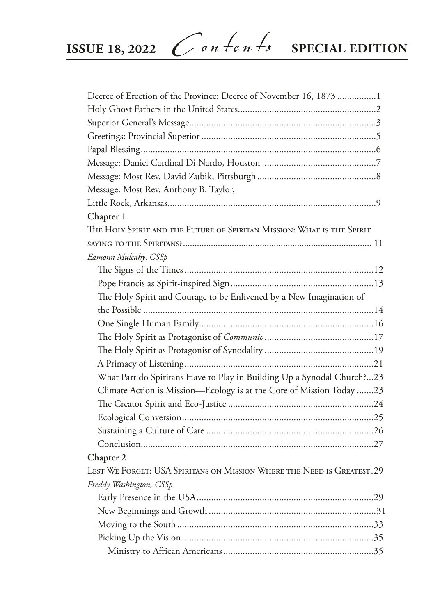| Decree of Erection of the Province: Decree of November 16, 1873 1       |
|-------------------------------------------------------------------------|
|                                                                         |
|                                                                         |
|                                                                         |
|                                                                         |
|                                                                         |
|                                                                         |
| Message: Most Rev. Anthony B. Taylor,                                   |
|                                                                         |
| Chapter 1                                                               |
| THE HOLY SPIRIT AND THE FUTURE OF SPIRITAN MISSION: WHAT IS THE SPIRIT  |
|                                                                         |
| Eamonn Mulcahy, CSSp                                                    |
|                                                                         |
|                                                                         |
| The Holy Spirit and Courage to be Enlivened by a New Imagination of     |
|                                                                         |
|                                                                         |
|                                                                         |
|                                                                         |
|                                                                         |
| What Part do Spiritans Have to Play in Building Up a Synodal Church?23  |
| Climate Action is Mission-Ecology is at the Core of Mission Today 23    |
|                                                                         |
|                                                                         |
|                                                                         |
|                                                                         |
| Chapter 2                                                               |
| LEST WE FORGET: USA SPIRITANS ON MISSION WHERE THE NEED IS GREATEST. 29 |
| Freddy Washington, CSSp                                                 |
|                                                                         |
|                                                                         |
|                                                                         |
|                                                                         |
|                                                                         |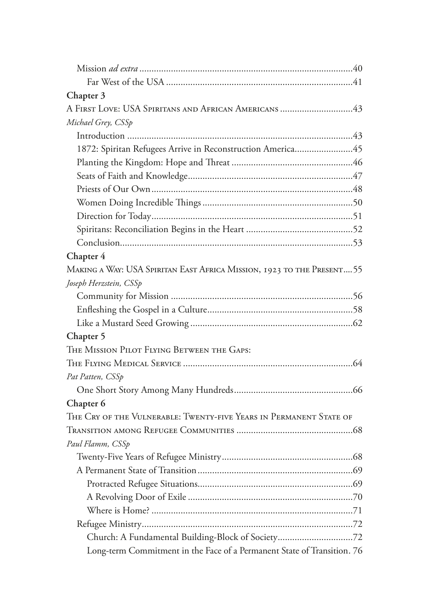| Chapter 3                                                               |
|-------------------------------------------------------------------------|
| A FIRST LOVE: USA SPIRITANS AND AFRICAN AMERICANS 43                    |
| Michael Grey, CSSp                                                      |
|                                                                         |
| 1872: Spiritan Refugees Arrive in Reconstruction America45              |
|                                                                         |
|                                                                         |
|                                                                         |
|                                                                         |
|                                                                         |
|                                                                         |
|                                                                         |
| Chapter 4                                                               |
| MAKING A WAY: USA SPIRITAN EAST AFRICA MISSION, 1923 TO THE PRESENT 55  |
| Joseph Herzstein, CSSp                                                  |
|                                                                         |
|                                                                         |
|                                                                         |
| Chapter 5                                                               |
| THE MISSION PILOT FLYING BETWEEN THE GAPS:                              |
|                                                                         |
| Pat Patten, CSSp                                                        |
|                                                                         |
| Chapter 6                                                               |
| THE CRY OF THE VULNERABLE: TWENTY-FIVE YEARS IN PERMANENT STATE OF      |
|                                                                         |
| Paul Flamm, CSSp                                                        |
|                                                                         |
|                                                                         |
|                                                                         |
|                                                                         |
|                                                                         |
|                                                                         |
| Church: A Fundamental Building-Block of Society72                       |
| Long-term Commitment in the Face of a Permanent State of Transition. 76 |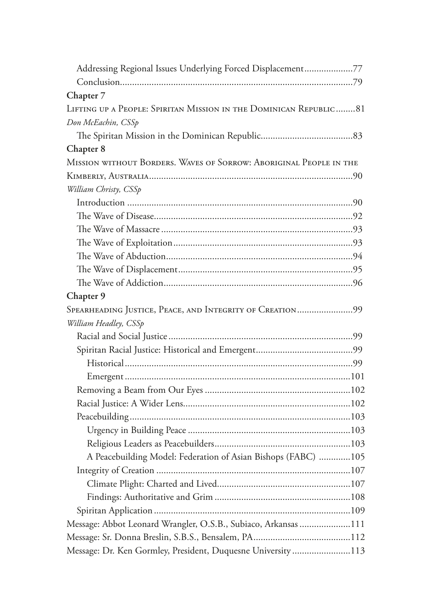| Addressing Regional Issues Underlying Forced Displacement77        |  |
|--------------------------------------------------------------------|--|
|                                                                    |  |
| Chapter 7                                                          |  |
| LIFTING UP A PEOPLE: SPIRITAN MISSION IN THE DOMINICAN REPUBLIC81  |  |
| Don McEachin, CSSp                                                 |  |
|                                                                    |  |
| Chapter 8                                                          |  |
| MISSION WITHOUT BORDERS. WAVES OF SORROW: ABORIGINAL PEOPLE IN THE |  |
|                                                                    |  |
| William Christy, CSSp                                              |  |
|                                                                    |  |
|                                                                    |  |
|                                                                    |  |
|                                                                    |  |
|                                                                    |  |
|                                                                    |  |
|                                                                    |  |
| Chapter 9                                                          |  |
| SPEARHEADING JUSTICE, PEACE, AND INTEGRITY OF CREATION99           |  |
| William Headley, CSSp                                              |  |
|                                                                    |  |
|                                                                    |  |
|                                                                    |  |
|                                                                    |  |
|                                                                    |  |
|                                                                    |  |
|                                                                    |  |
|                                                                    |  |
|                                                                    |  |
| A Peacebuilding Model: Federation of Asian Bishops (FABC) 105      |  |
|                                                                    |  |
|                                                                    |  |
|                                                                    |  |
|                                                                    |  |
| Message: Abbot Leonard Wrangler, O.S.B., Subiaco, Arkansas 111     |  |
|                                                                    |  |
| Message: Dr. Ken Gormley, President, Duquesne University113        |  |
|                                                                    |  |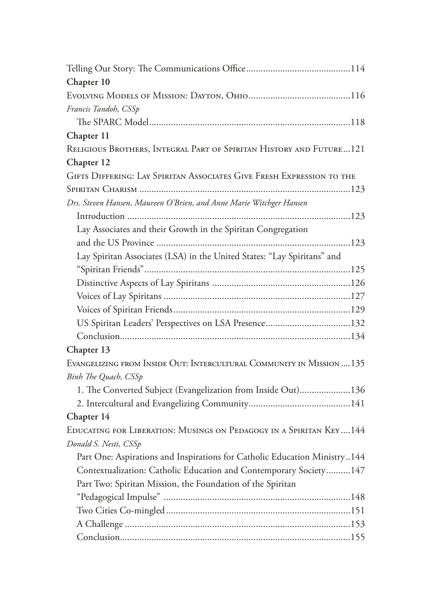| Chapter 10                                                                |
|---------------------------------------------------------------------------|
|                                                                           |
| Francis Tandoh, CSSp                                                      |
|                                                                           |
| Chapter 11                                                                |
| RELIGIOUS BROTHERS, INTEGRAL PART OF SPIRITAN HISTORY AND FUTURE121       |
| Chapter 12                                                                |
| GIFTS DIFFERING: LAY SPIRITAN ASSOCIATES GIVE FRESH EXPRESSION TO THE     |
|                                                                           |
| Drs. Steven Hansen, Maureen O'Brien, and Anne Marie Witchger Hansen       |
|                                                                           |
| Lay Associates and their Growth in the Spiritan Congregation              |
|                                                                           |
| Lay Spiritan Associates (LSA) in the United States: "Lay Spiritans" and   |
|                                                                           |
|                                                                           |
|                                                                           |
|                                                                           |
|                                                                           |
|                                                                           |
| Chapter 13                                                                |
| EVANGELIZING FROM INSIDE OUT: INTERCULTURAL COMMUNITY IN MISSION  135     |
| Binh The Quach, CSSp                                                      |
| 1. The Converted Subject (Evangelization from Inside Out)136              |
|                                                                           |
| Chapter 14                                                                |
| EDUCATING FOR LIBERATION: MUSINGS ON PEDAGOGY IN A SPIRITAN KEY144        |
| Donald S. Nesti, CSSp                                                     |
| Part One: Aspirations and Inspirations for Catholic Education Ministry144 |
| Contextualization: Catholic Education and Contemporary Society 147        |
| Part Two: Spiritan Mission, the Foundation of the Spiritan                |
|                                                                           |
|                                                                           |
|                                                                           |
|                                                                           |